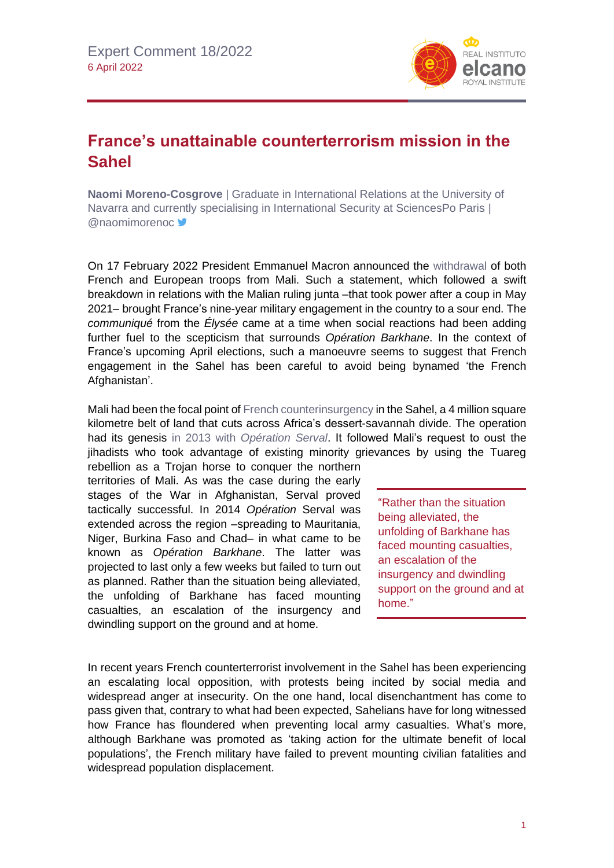

## **France's unattainable counterterrorism mission in the Sahel**

**Naomi Moreno-Cosgrove** | Graduate in International Relations at the University of Navarra and currently specialising in International Security at SciencesPo Paris | @naomimorenoc

On 17 February 2022 President Emmanuel Macron announced the [withdrawal](https://www.france24.com/en/france/20220217-live-macron-holds-conference-on-sahel-engagement-as-france-poised-to-withdraw-troops-from-mali) of both French and European troops from Mali. Such a statement, which followed a swift breakdown in relations with the Malian ruling junta –that took power after a coup in May 2021– brought France's nine-year military engagement in the country to a sour end. The *communiqué* from the *Élysée* came at a time when social reactions had been adding further fuel to the scepticism that surrounds *Opération Barkhane*. In the context of France's upcoming April elections, such a manoeuvre seems to suggest that French engagement in the Sahel has been careful to avoid being bynamed 'the French Afghanistan'.

Mali had been the focal point o[f French counterinsurgency](https://www.realinstitutoelcano.org/en/analyses/the-jihadist-threat-to-france-and-its-interests-abroad/) in the Sahel, a 4 million square kilometre belt of land that cuts across Africa's dessert-savannah divide. The operation had its genesis in 2013 with *[Opération Serval](https://www.realinstitutoelcano.org/comentarios/espana-mali-y-la-operacion-serval-de-francia-que-hacer-y-que-no-solos-o-en-compania-de-otros/)*. It followed Mali's request to oust the jihadists who took advantage of existing minority grievances by using the Tuareg

rebellion as a Trojan horse to conquer the northern territories of Mali. As was the case during the early stages of the War in Afghanistan, Serval proved tactically successful. In 2014 *Opération* Serval was extended across the region –spreading to Mauritania, Niger, Burkina Faso and Chad– in what came to be known as *Opération Barkhane*. The latter was projected to last only a few weeks but failed to turn out as planned. Rather than the situation being alleviated, the unfolding of Barkhane has faced mounting casualties, an escalation of the insurgency and dwindling support on the ground and at home.

"Rather than the situation being alleviated, the unfolding of Barkhane has faced mounting casualties, an escalation of the insurgency and dwindling support on the ground and at home."

In recent years French counterterrorist involvement in the Sahel has been experiencing an escalating local opposition, with protests being incited by social media and widespread anger at insecurity. On the one hand, local disenchantment has come to pass given that, contrary to what had been expected, Sahelians have for long witnessed how France has floundered when preventing local army casualties. What's more, although Barkhane was promoted as 'taking action for the ultimate benefit of local populations', the French military have failed to prevent mounting civilian fatalities and widespread population displacement.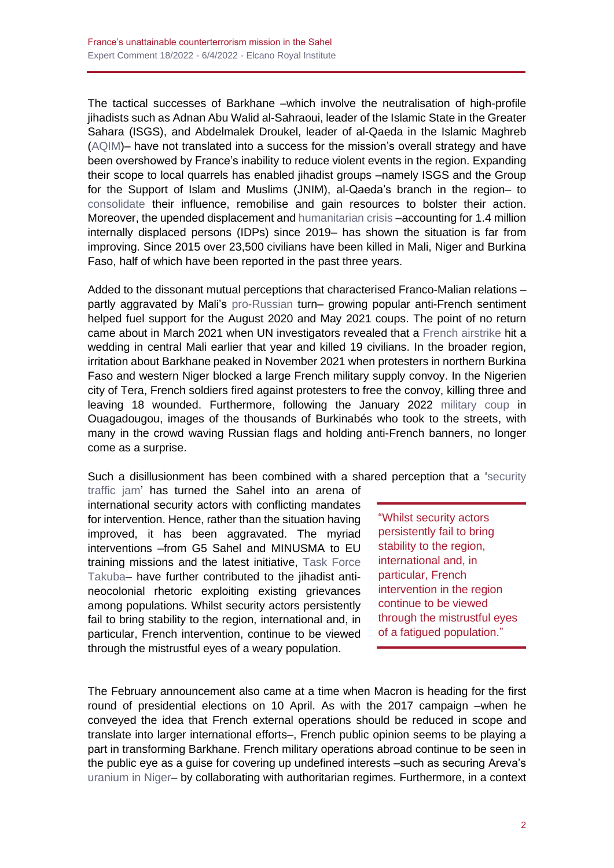The tactical successes of Barkhane –which involve the neutralisation of high-profile jihadists such as Adnan Abu Walid al-Sahraoui, leader of the Islamic State in the Greater Sahara (ISGS), and Abdelmalek Droukel, leader of al-Qaeda in the Islamic Maghreb [\(AQIM\)](https://www.realinstitutoelcano.org/en/commentaries/aqims-existing-and-disrupted-plans-in-and-from-the-sahel/)– have not translated into a success for the mission's overall strategy and have been overshowed by France's inability to reduce violent events in the region. Expanding their scope to local quarrels has enabled jihadist groups –namely ISGS and the Group for the Support of Islam and Muslims (JNIM), al-Qaeda's branch in the region– to [consolidate](https://www.realinstitutoelcano.org/en/analyses/jamaat-nu%e1%b9%a3rat-al-islam-wa-l-muslimin-a-propaganda-analysis-of-al-qaedas-project-for-the-sahel/) their influence, remobilise and gain resources to bolster their action. Moreover, the upended displacement and [humanitarian crisis](https://acleddata.com/2021/06/17/sahel-2021-communal-wars-broken-ceasefires-and-shifting-frontlines/) –accounting for 1.4 million internally displaced persons (IDPs) since 2019– has shown the situation is far from improving. Since 2015 over 23,500 civilians have been killed in Mali, Niger and Burkina Faso, half of which have been reported in the past three years.

Added to the dissonant mutual perceptions that characterised Franco-Malian relations – partly aggravated by Mali's [pro-Russian](https://theconversation.com/rising-instability-in-mali-raises-fears-about-role-of-private-russian-military-group-174634) turn– growing popular anti-French sentiment helped fuel support for the August 2020 and May 2021 coups. The point of no return came about in March 2021 when UN investigators revealed that a [French airstrike](https://www.nytimes.com/2021/03/30/world/africa/mali-wedding-french-airstrike.html) hit a wedding in central Mali earlier that year and killed 19 civilians. In the broader region, irritation about Barkhane peaked in November 2021 when protesters in northern Burkina Faso and western Niger blocked a large French military supply convoy. In the Nigerien city of Tera, French soldiers fired against protesters to free the convoy, killing three and leaving 18 wounded. Furthermore, following the January 2022 [military coup](https://www.reuters.com/world/africa/burkina-faso-appoints-interim-government-after-january-coup-2022-03-06/) in Ouagadougou, images of the thousands of Burkinabés who took to the streets, with many in the crowd waving Russian flags and holding anti-French banners, no longer come as a surprise.

Such a disillusionment has been combined with a shared perception that a ['security](https://www.realinstitutoelcano.org/en/analyses/a-logic-of-its-own-the-external-presence-in-the-sahel/) 

[traffic jam'](https://www.realinstitutoelcano.org/en/analyses/a-logic-of-its-own-the-external-presence-in-the-sahel/) has turned the Sahel into an arena of international security actors with conflicting mandates for intervention. Hence, rather than the situation having improved, it has been aggravated. The myriad interventions –from G5 Sahel and MINUSMA to EU training missions and the latest initiative, [Task Force](https://www.greydynamics.com/task-force-takuba-special-forces-in-the-sahel/#:~:text=Following%20almost%20a%20full%20decade,Task%20Force%20Takuba%20from%20Mali.)  [Takuba–](https://www.greydynamics.com/task-force-takuba-special-forces-in-the-sahel/#:~:text=Following%20almost%20a%20full%20decade,Task%20Force%20Takuba%20from%20Mali.) have further contributed to the jihadist antineocolonial rhetoric exploiting existing grievances among populations. Whilst security actors persistently fail to bring stability to the region, international and, in particular, French intervention, continue to be viewed through the mistrustful eyes of a weary population.

"Whilst security actors persistently fail to bring stability to the region, international and, in particular, French intervention in the region continue to be viewed through the mistrustful eyes of a fatigued population."

The February announcement also came at a time when Macron is heading for the first round of presidential elections on 10 April. As with the 2017 campaign –when he conveyed the idea that French external operations should be reduced in scope and translate into larger international efforts–, French public opinion seems to be playing a part in transforming Barkhane. French military operations abroad continue to be seen in the public eye as a guise for covering up undefined interests –such as securing Areva's [uranium in Niger–](https://www.reuters.com/article/us-mali-rebels-niger-areva-idUSBRE90N0OD20130124) by collaborating with authoritarian regimes. Furthermore, in a context